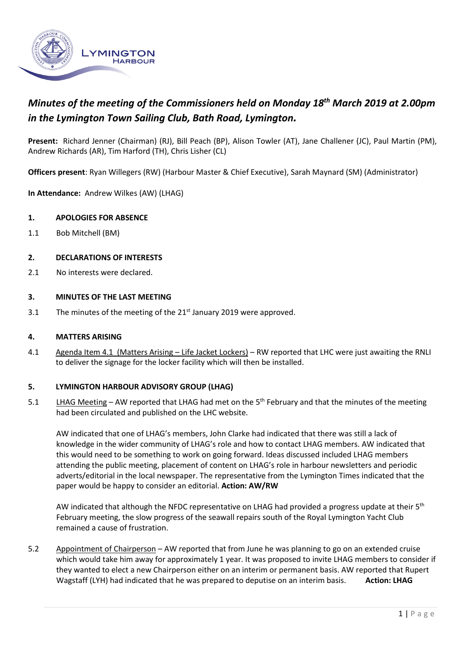

# *Minutes of the meeting of the Commissioners held on Monday 18th March 2019 at 2.00pm in the Lymington Town Sailing Club, Bath Road, Lymington.*

**Present:** Richard Jenner (Chairman) (RJ), Bill Peach (BP), Alison Towler (AT), Jane Challener (JC), Paul Martin (PM), Andrew Richards (AR), Tim Harford (TH), Chris Lisher (CL)

**Officers present**: Ryan Willegers (RW) (Harbour Master & Chief Executive), Sarah Maynard (SM) (Administrator)

**In Attendance:** Andrew Wilkes (AW) (LHAG)

## **1. APOLOGIES FOR ABSENCE**

1.1 Bob Mitchell (BM)

## **2. DECLARATIONS OF INTERESTS**

2.1 No interests were declared.

### **3. MINUTES OF THE LAST MEETING**

3.1 The minutes of the meeting of the  $21<sup>st</sup>$  January 2019 were approved.

#### **4. MATTERS ARISING**

4.1 Agenda Item 4.1 (Matters Arising – Life Jacket Lockers) – RW reported that LHC were just awaiting the RNLI to deliver the signage for the locker facility which will then be installed.

#### **5. LYMINGTON HARBOUR ADVISORY GROUP (LHAG)**

5.1 LHAG Meeting - AW reported that LHAG had met on the 5<sup>th</sup> February and that the minutes of the meeting had been circulated and published on the LHC website.

AW indicated that one of LHAG's members, John Clarke had indicated that there was still a lack of knowledge in the wider community of LHAG's role and how to contact LHAG members. AW indicated that this would need to be something to work on going forward. Ideas discussed included LHAG members attending the public meeting, placement of content on LHAG's role in harbour newsletters and periodic adverts/editorial in the local newspaper. The representative from the Lymington Times indicated that the paper would be happy to consider an editorial. **Action: AW/RW**

AW indicated that although the NFDC representative on LHAG had provided a progress update at their 5<sup>th</sup> February meeting, the slow progress of the seawall repairs south of the Royal Lymington Yacht Club remained a cause of frustration.

5.2 Appointment of Chairperson – AW reported that from June he was planning to go on an extended cruise which would take him away for approximately 1 year. It was proposed to invite LHAG members to consider if they wanted to elect a new Chairperson either on an interim or permanent basis. AW reported that Rupert Wagstaff (LYH) had indicated that he was prepared to deputise on an interim basis. **Action: LHAG**